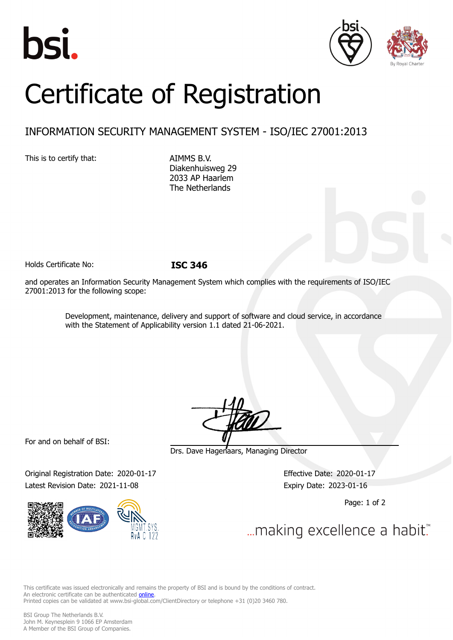





# Certificate of Registration

# INFORMATION SECURITY MANAGEMENT SYSTEM - ISO/IEC 27001:2013

This is to certify that: AIMMS B.V.

Diakenhuisweg 29 2033 AP Haarlem The Netherlands

Holds Certificate No: **ISC 346**

and operates an Information Security Management System which complies with the requirements of ISO/IEC 27001:2013 for the following scope:

> Development, maintenance, delivery and support of software and cloud service, in accordance with the Statement of Applicability version 1.1 dated 21-06-2021.

For and on behalf of BSI:

Original Registration Date: 2020-01-17 Effective Date: 2020-01-17 Latest Revision Date: 2021-11-08 Expiry Date: 2023-01-16



Drs. Dave Hagenaars, Managing Director

Page: 1 of 2

... making excellence a habit."

This certificate was issued electronically and remains the property of BSI and is bound by the conditions of contract. An electronic certificate can be authenticated **[online](https://pgplus.bsigroup.com/CertificateValidation/CertificateValidator.aspx?CertificateNumber=ISC+346&ReIssueDate=08%2f11%2f2021&Template=cemea_en)**. Printed copies can be validated at www.bsi-global.com/ClientDirectory or telephone +31 (0)20 3460 780.